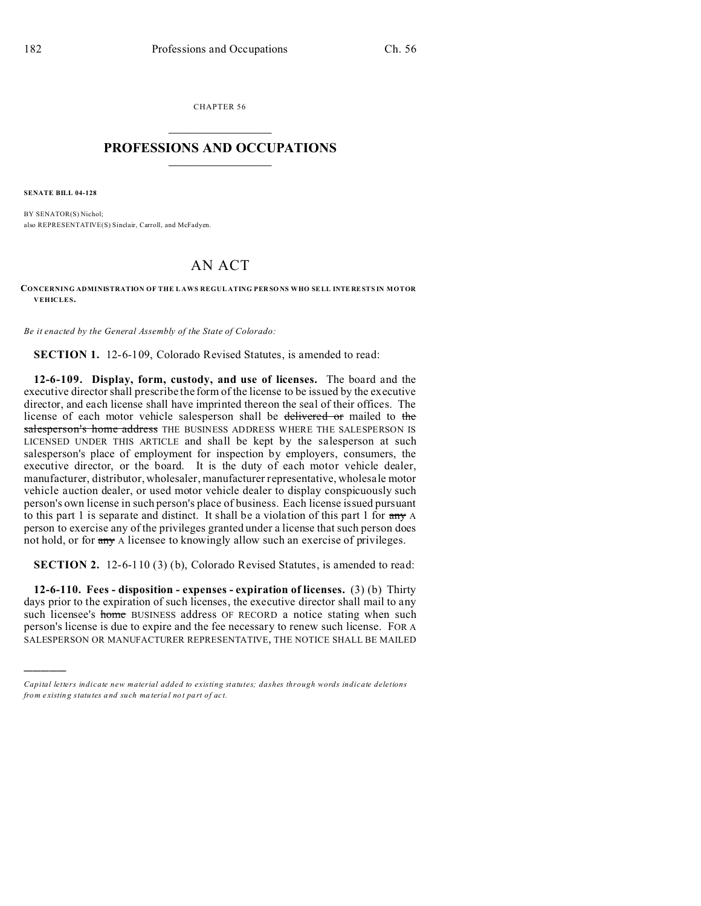CHAPTER 56  $\overline{\phantom{a}}$  , where  $\overline{\phantom{a}}$ 

## **PROFESSIONS AND OCCUPATIONS**  $\frac{1}{2}$  ,  $\frac{1}{2}$  ,  $\frac{1}{2}$  ,  $\frac{1}{2}$  ,  $\frac{1}{2}$  ,  $\frac{1}{2}$

**SENATE BILL 04-128**

)))))

BY SENATOR(S) Nichol; also REPRESENTATIVE(S) Sinclair, Carroll, and McFadyen.

## AN ACT

**CONCERNING ADMINISTRATION OF THE L AWS REGUL ATING PER SO NS WHO SELL INTE RESTS IN MOTOR VEHICLES.**

*Be it enacted by the General Assembly of the State of Colorado:*

**SECTION 1.** 12-6-109, Colorado Revised Statutes, is amended to read:

**12-6-109. Display, form, custody, and use of licenses.** The board and the executive director shall prescribe the form of the license to be issued by the executive director, and each license shall have imprinted thereon the seal of their offices. The license of each motor vehicle salesperson shall be delivered or mailed to the salesperson's home address THE BUSINESS ADDRESS WHERE THE SALESPERSON IS LICENSED UNDER THIS ARTICLE and shall be kept by the salesperson at such salesperson's place of employment for inspection by employers, consumers, the executive director, or the board. It is the duty of each motor vehicle dealer, manufacturer, distributor, wholesaler, manufacturer representative, wholesale motor vehicle auction dealer, or used motor vehicle dealer to display conspicuously such person's own license in such person's place of business. Each license issued pursuant to this part 1 is separate and distinct. It shall be a violation of this part 1 for any A person to exercise any of the privileges granted under a license that such person does not hold, or for any A licensee to knowingly allow such an exercise of privileges.

**SECTION 2.** 12-6-110 (3) (b), Colorado Revised Statutes, is amended to read:

**12-6-110. Fees - disposition - expenses - expiration of licenses.** (3) (b) Thirty days prior to the expiration of such licenses, the executive director shall mail to any such licensee's home BUSINESS address OF RECORD a notice stating when such person's license is due to expire and the fee necessary to renew such license. FOR A SALESPERSON OR MANUFACTURER REPRESENTATIVE, THE NOTICE SHALL BE MAILED

*Capital letters indicate new material added to existing statutes; dashes through words indicate deletions from e xistin g statu tes a nd such ma teria l no t pa rt of ac t.*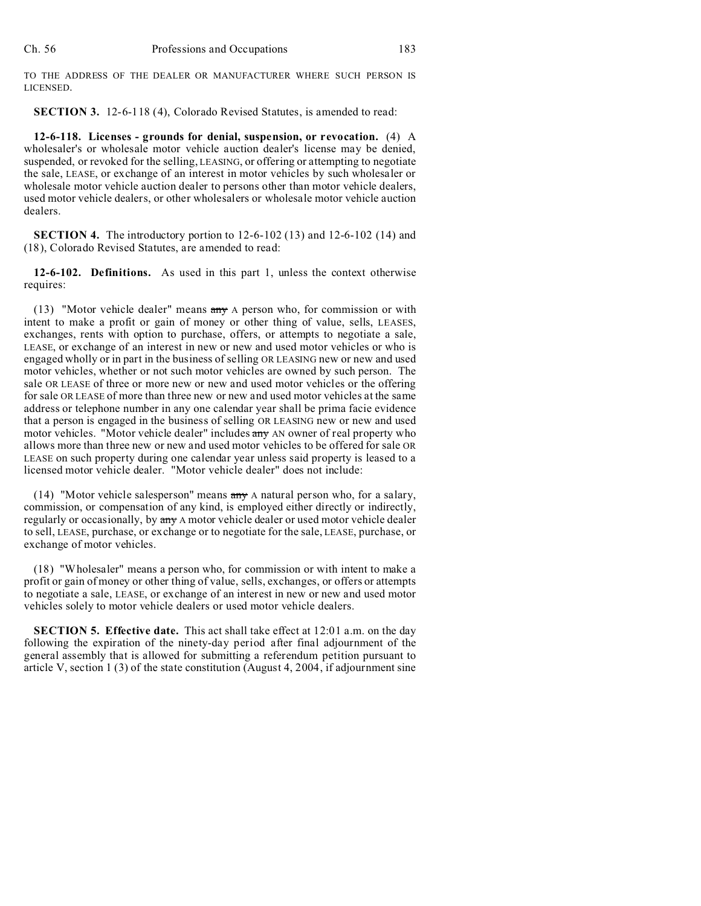TO THE ADDRESS OF THE DEALER OR MANUFACTURER WHERE SUCH PERSON IS LICENSED.

**SECTION 3.** 12-6-118 (4), Colorado Revised Statutes, is amended to read:

**12-6-118. Licenses - grounds for denial, suspension, or revocation.** (4) A wholesaler's or wholesale motor vehicle auction dealer's license may be denied, suspended, or revoked for the selling, LEASING, or offering or attempting to negotiate the sale, LEASE, or exchange of an interest in motor vehicles by such wholesaler or wholesale motor vehicle auction dealer to persons other than motor vehicle dealers, used motor vehicle dealers, or other wholesalers or wholesale motor vehicle auction dealers.

**SECTION 4.** The introductory portion to 12-6-102 (13) and 12-6-102 (14) and (18), Colorado Revised Statutes, are amended to read:

**12-6-102. Definitions.** As used in this part 1, unless the context otherwise requires:

(13) "Motor vehicle dealer" means  $\frac{\text{amy}}{\text{A}}$  person who, for commission or with intent to make a profit or gain of money or other thing of value, sells, LEASES, exchanges, rents with option to purchase, offers, or attempts to negotiate a sale, LEASE, or exchange of an interest in new or new and used motor vehicles or who is engaged wholly or in part in the business of selling OR LEASING new or new and used motor vehicles, whether or not such motor vehicles are owned by such person. The sale OR LEASE of three or more new or new and used motor vehicles or the offering for sale OR LEASE of more than three new or new and used motor vehicles at the same address or telephone number in any one calendar year shall be prima facie evidence that a person is engaged in the business of selling OR LEASING new or new and used motor vehicles. "Motor vehicle dealer" includes any AN owner of real property who allows more than three new or new and used motor vehicles to be offered for sale OR LEASE on such property during one calendar year unless said property is leased to a licensed motor vehicle dealer. "Motor vehicle dealer" does not include:

(14) "Motor vehicle salesperson" means  $\frac{arg x}{x}$  A natural person who, for a salary, commission, or compensation of any kind, is employed either directly or indirectly, regularly or occasionally, by any A motor vehicle dealer or used motor vehicle dealer to sell, LEASE, purchase, or exchange or to negotiate for the sale, LEASE, purchase, or exchange of motor vehicles.

(18) "Wholesaler" means a person who, for commission or with intent to make a profit or gain of money or other thing of value, sells, exchanges, or offers or attempts to negotiate a sale, LEASE, or exchange of an interest in new or new and used motor vehicles solely to motor vehicle dealers or used motor vehicle dealers.

**SECTION 5. Effective date.** This act shall take effect at 12:01 a.m. on the day following the expiration of the ninety-day period after final adjournment of the general assembly that is allowed for submitting a referendum petition pursuant to article V, section 1 (3) of the state constitution (August 4, 2004, if adjournment sine